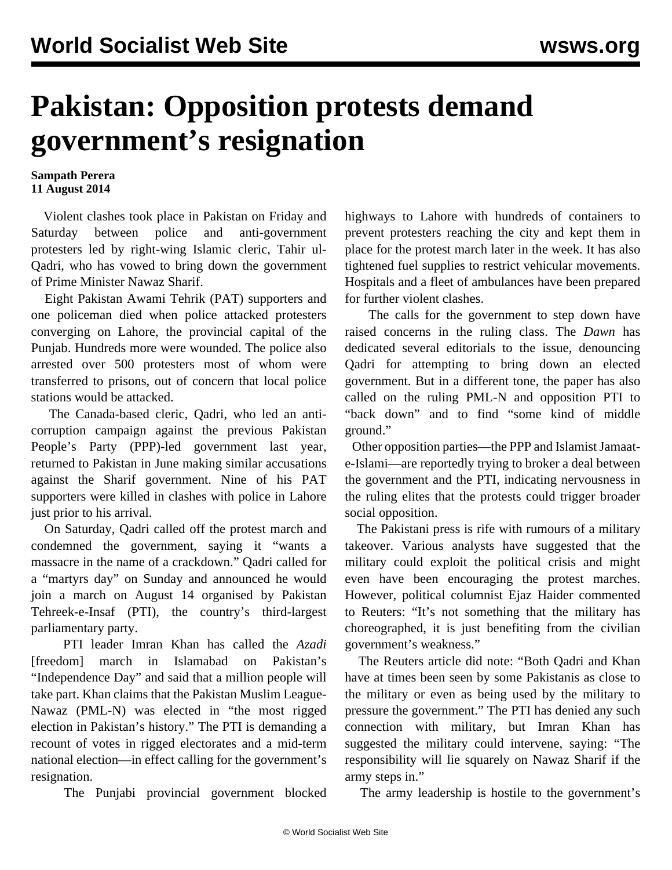## **Pakistan: Opposition protests demand government's resignation**

## **Sampath Perera 11 August 2014**

 Violent clashes took place in Pakistan on Friday and Saturday between police and anti-government protesters led by right-wing Islamic cleric, Tahir ul-Qadri, who has vowed to bring down the government of Prime Minister Nawaz Sharif.

 Eight Pakistan Awami Tehrik (PAT) supporters and one policeman died when police attacked protesters converging on Lahore, the provincial capital of the Punjab. Hundreds more were wounded. The police also arrested over 500 protesters most of whom were transferred to prisons, out of concern that local police stations would be attacked.

 The Canada-based cleric, Qadri, who led an anticorruption campaign against the previous Pakistan People's Party (PPP)-led government last year, returned to Pakistan in June making similar accusations against the Sharif government. Nine of his PAT supporters were killed in clashes with police in Lahore just prior to his arrival.

 On Saturday, Qadri called off the protest march and condemned the government, saying it "wants a massacre in the name of a crackdown." Qadri called for a "martyrs day" on Sunday and announced he would join a march on August 14 organised by Pakistan Tehreek-e-Insaf (PTI), the country's third-largest parliamentary party.

 PTI leader Imran Khan has called the *Azadi* [freedom] march in Islamabad on Pakistan's "Independence Day" and said that a million people will take part. Khan claims that the Pakistan Muslim League-Nawaz (PML-N) was elected in "the most rigged election in Pakistan's history." The PTI is demanding a recount of votes in rigged electorates and a mid-term national election—in effect calling for the government's resignation.

The Punjabi provincial government blocked

highways to Lahore with hundreds of containers to prevent protesters reaching the city and kept them in place for the protest march later in the week. It has also tightened fuel supplies to restrict vehicular movements. Hospitals and a fleet of ambulances have been prepared for further violent clashes.

 The calls for the government to step down have raised concerns in the ruling class. The *Dawn* has dedicated several editorials to the issue, denouncing Qadri for attempting to bring down an elected government. But in a different tone, the paper has also called on the ruling PML-N and opposition PTI to "back down" and to find "some kind of middle ground."

 Other opposition parties—the PPP and Islamist Jamaate-Islami—are reportedly trying to broker a deal between the government and the PTI, indicating nervousness in the ruling elites that the protests could trigger broader social opposition.

 The Pakistani press is rife with rumours of a military takeover. Various analysts have suggested that the military could exploit the political crisis and might even have been encouraging the protest marches. However, political columnist Ejaz Haider commented to Reuters: "It's not something that the military has choreographed, it is just benefiting from the civilian government's weakness."

 The Reuters article did note: "Both Qadri and Khan have at times been seen by some Pakistanis as close to the military or even as being used by the military to pressure the government." The PTI has denied any such connection with military, but Imran Khan has suggested the military could intervene, saying: "The responsibility will lie squarely on Nawaz Sharif if the army steps in."

The army leadership is hostile to the government's